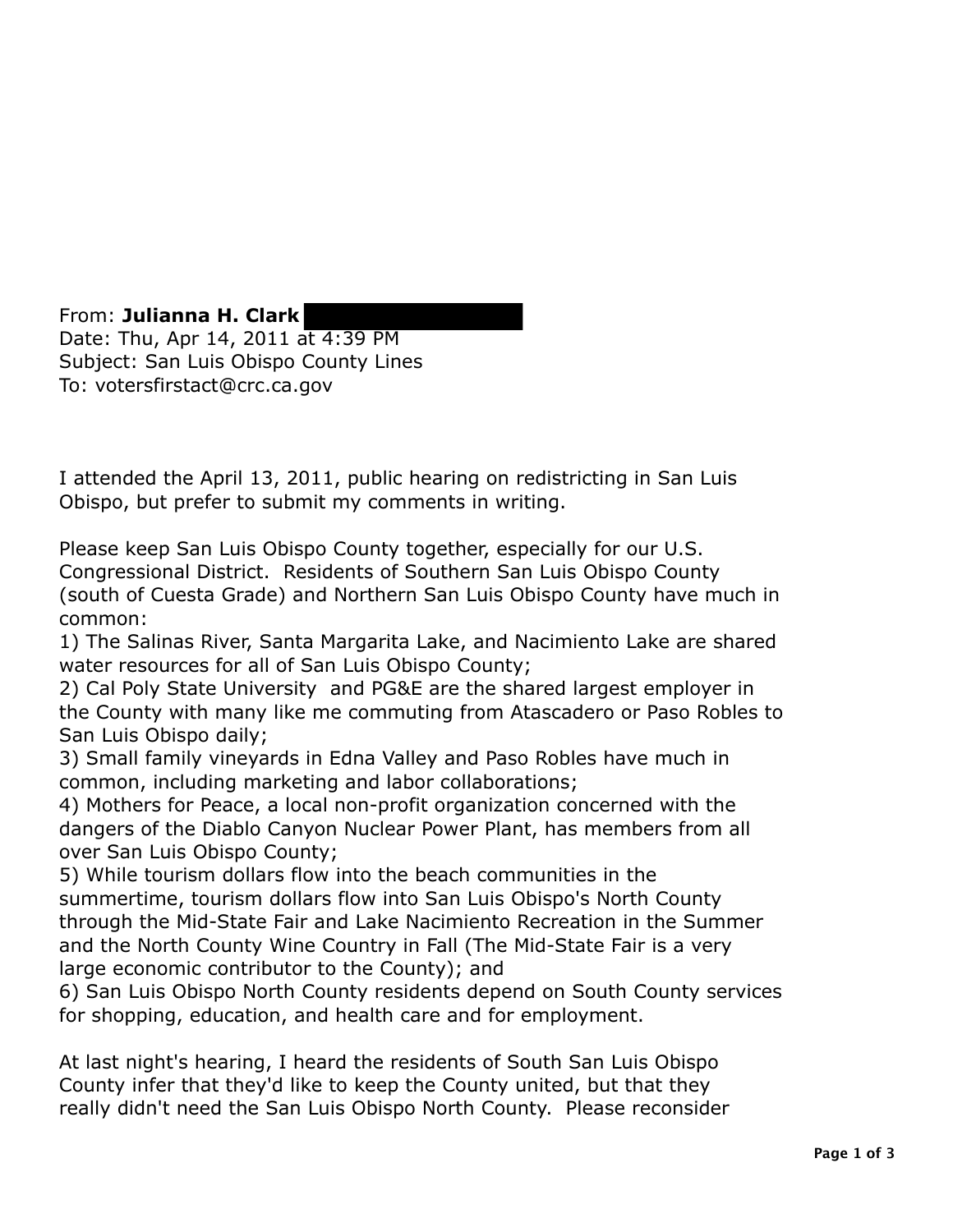From: **Julianna H. Clark**  Date: Thu, Apr 14, 2011 at 4:39 PM Subject: San Luis Obispo County Lines To: votersfirstact@crc.ca.gov

I attended the April 13, 2011, public hearing on redistricting in San Luis Obispo, but prefer to submit my comments in writing.

Please keep San Luis Obispo County together, especially for our U.S. Congressional District. Residents of Southern San Luis Obispo County (south of Cuesta Grade) and Northern San Luis Obispo County have much in common:

1) The Salinas River, Santa Margarita Lake, and Nacimiento Lake are shared water resources for all of San Luis Obispo County;

2) Cal Poly State University and PG&E are the shared largest employer in the County with many like me commuting from Atascadero or Paso Robles to San Luis Obispo daily;

3) Small family vineyards in Edna Valley and Paso Robles have much in common, including marketing and labor collaborations;

4) Mothers for Peace, a local non-profit organization concerned with the dangers of the Diablo Canyon Nuclear Power Plant, has members from all over San Luis Obispo County;

5) While tourism dollars flow into the beach communities in the summertime, tourism dollars flow into San Luis Obispo's North County through the Mid-State Fair and Lake Nacimiento Recreation in the Summer and the North County Wine Country in Fall (The Mid-State Fair is a very large economic contributor to the County); and

6) San Luis Obispo North County residents depend on South County services for shopping, education, and health care and for employment.

At last night's hearing, I heard the residents of South San Luis Obispo County infer that they'd like to keep the County united, but that they really didn't need the San Luis Obispo North County. Please reconsider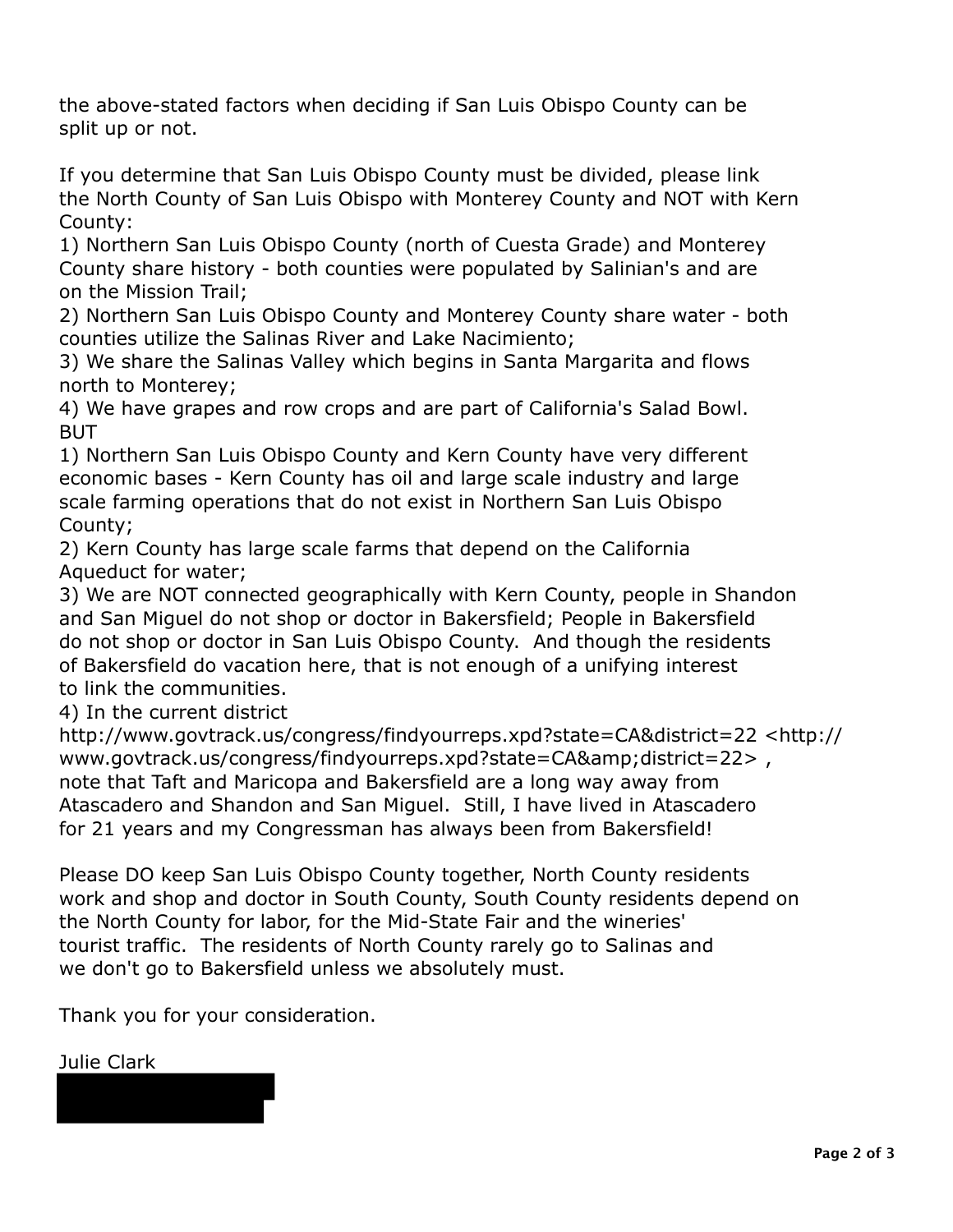the above-stated factors when deciding if San Luis Obispo County can be split up or not.

 If you determine that San Luis Obispo County must be divided, please link the North County of San Luis Obispo with Monterey County and NOT with Kern County:

 1) Northern San Luis Obispo County (north of Cuesta Grade) and Monterey County share history - both counties were populated by Salinian's and are on the Mission Trail;

 2) Northern San Luis Obispo County and Monterey County share water - both counties utilize the Salinas River and Lake Nacimiento;

 3) We share the Salinas Valley which begins in Santa Margarita and flows north to Monterey;

 4) We have grapes and row crops and are part of California's Salad Bowl. BUT

 1) Northern San Luis Obispo County and Kern County have very different economic bases - Kern County has oil and large scale industry and large scale farming operations that do not exist in Northern San Luis Obispo County;

 2) Kern County has large scale farms that depend on the California Aqueduct for water;

 3) We are NOT connected geographically with Kern County, people in Shandon and San Miguel do not shop or doctor in Bakersfield; People in Bakersfield do not shop or doctor in San Luis Obispo County. And though the residents of Bakersfield do vacation here, that is not enough of a unifying interest to link the communities.

4) In the current district

www.govtrack.us/congress/findyourreps.xpd?state=CA&district=22>, note that Taft and Maricopa and Bakersfield are a long way away from Atascadero and Shandon and San Miguel. Still, I have lived in Atascadero for 21 years and my Congressman has always been from Bakersfield! http://www.govtrack.us/congress/findyourreps.xpd?state=CA&district=22 <http://

 Please DO keep San Luis Obispo County together, North County residents work and shop and doctor in South County, South County residents depend on the North County for labor, for the Mid-State Fair and the wineries' tourist traffic. The residents of North County rarely go to Salinas and we don't go to Bakersfield unless we absolutely must.

Thank you for your consideration.

Julie Clark